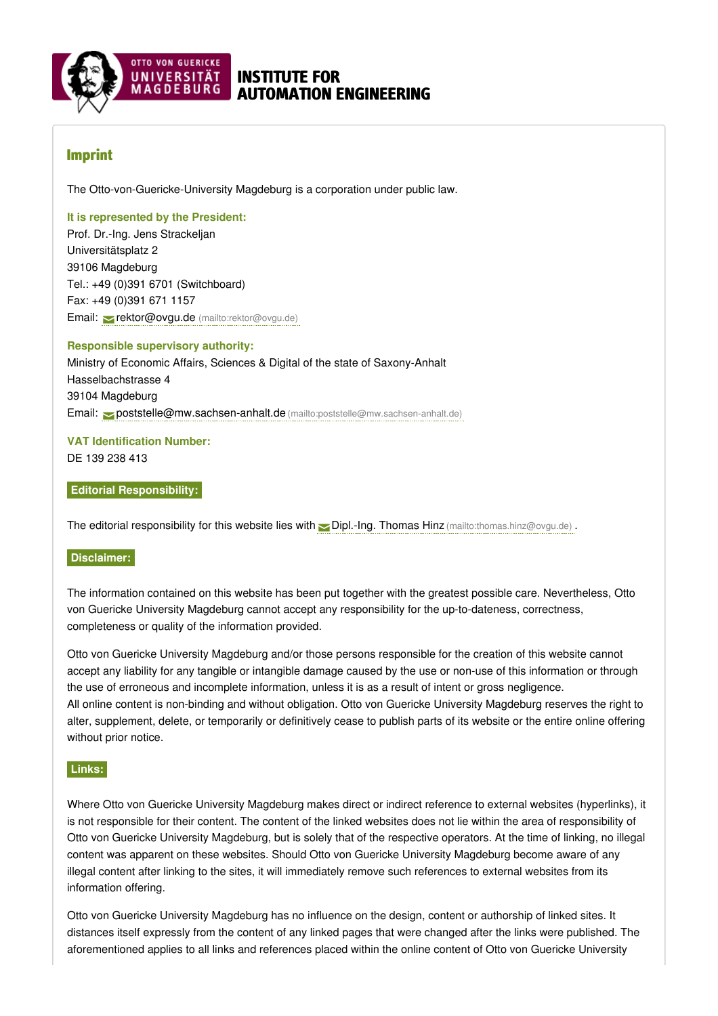

# INSTITUTE FOR AUTOMATION ENGINEERING

# Imprint

The Otto-von-Guericke-University Magdeburg is a corporation under public law.

#### **It is represented by the President:**

Prof. Dr.-Ing. Jens Strackeljan Universitätsplatz 2 39106 Magdeburg Tel.: +49 (0)391 6701 (Switchboard) Fax: +49 (0)391 671 1157 Email: rektor@ovgu.de [\(mailto:rektor@ovgu.de\)](mailto:rektor@ovgu.de)

### **Responsible supervisory authority:**

Ministry of Economic Affairs, Sciences & Digital of the state of Saxony-Anhalt Hasselbachstrasse 4 39104 Magdeburg Email: [poststelle@mw.sachsen-anhalt.de](mailto:poststelle@mw.sachsen-anhalt.de) (mailto:poststelle@mw.sachsen-anhalt.de)

#### **VAT Identification Number:** DE 139 238 413

#### **Editorial Responsibility:**

The editorial responsibility for this website lies with  $\Box$  Dipl.-Ing. Thomas Hinz [\(mailto:thomas.hinz@ovgu.de\)](mailto:thomas.hinz@ovgu.de) .

#### **Disclaimer:**

The information contained on this website has been put together with the greatest possible care. Nevertheless, Otto von Guericke University Magdeburg cannot accept any responsibility for the up-to-dateness, correctness, completeness or quality of the information provided.

Otto von Guericke University Magdeburg and/or those persons responsible for the creation of this website cannot accept any liability for any tangible or intangible damage caused by the use or non-use of this information or through the use of erroneous and incomplete information, unless it is as a result of intent or gross negligence. All online content is non-binding and without obligation. Otto von Guericke University Magdeburg reserves the right to alter, supplement, delete, or temporarily or definitively cease to publish parts of its website or the entire online offering without prior notice.

#### **Links:**

Where Otto von Guericke University Magdeburg makes direct or indirect reference to external websites (hyperlinks), it is not responsible for their content. The content of the linked websites does not lie within the area of responsibility of Otto von Guericke University Magdeburg, but is solely that of the respective operators. At the time of linking, no illegal content was apparent on these websites. Should Otto von Guericke University Magdeburg become aware of any illegal content after linking to the sites, it will immediately remove such references to external websites from its information offering.

Otto von Guericke University Magdeburg has no influence on the design, content or authorship of linked sites. It distances itself expressly from the content of any linked pages that were changed after the links were published. The aforementioned applies to all links and references placed within the online content of Otto von Guericke University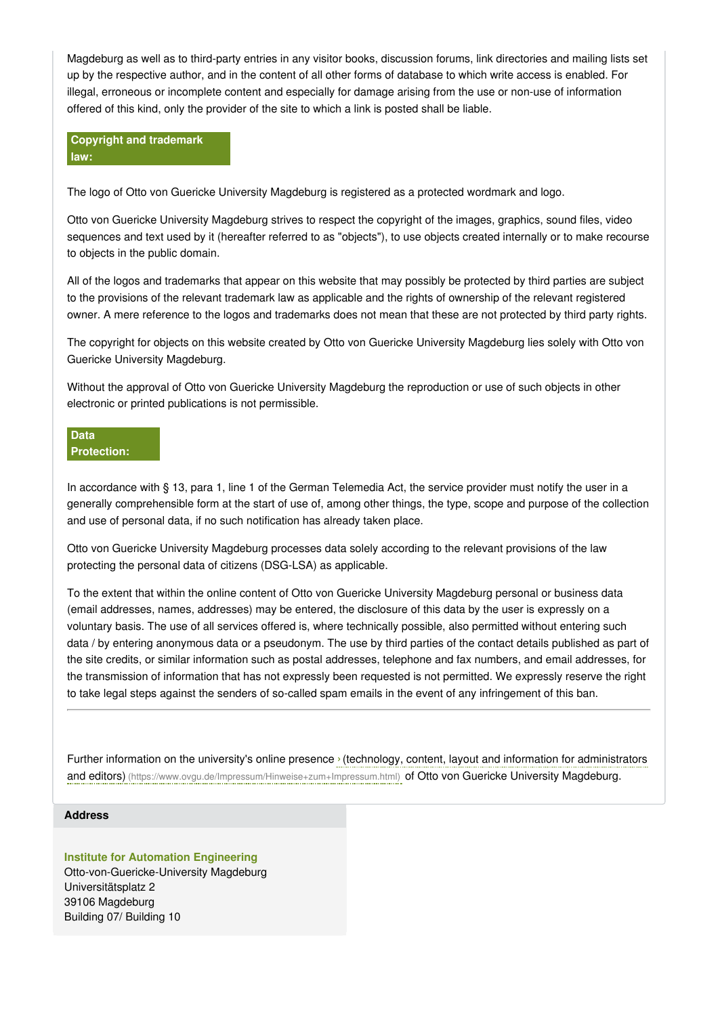Magdeburg as well as to third-party entries in any visitor books, discussion forums, link directories and mailing lists set up by the respective author, and in the content of all other forms of database to which write access is enabled. For illegal, erroneous or incomplete content and especially for damage arising from the use or non-use of information offered of this kind, only the provider of the site to which a link is posted shall be liable.

**Copyright and trademark law:**

The logo of Otto von Guericke University Magdeburg is registered as a protected wordmark and logo.

Otto von Guericke University Magdeburg strives to respect the copyright of the images, graphics, sound files, video sequences and text used by it (hereafter referred to as "objects"), to use objects created internally or to make recourse to objects in the public domain.

All of the logos and trademarks that appear on this website that may possibly be protected by third parties are subject to the provisions of the relevant trademark law as applicable and the rights of ownership of the relevant registered owner. A mere reference to the logos and trademarks does not mean that these are not protected by third party rights.

The copyright for objects on this website created by Otto von Guericke University Magdeburg lies solely with Otto von Guericke University Magdeburg.

Without the approval of Otto von Guericke University Magdeburg the reproduction or use of such objects in other electronic or printed publications is not permissible.

### **Data Protection:**

In accordance with § 13, para 1, line 1 of the German Telemedia Act, the service provider must notify the user in a generally comprehensible form at the start of use of, among other things, the type, scope and purpose of the collection and use of personal data, if no such notification has already taken place.

Otto von Guericke University Magdeburg processes data solely according to the relevant provisions of the law protecting the personal data of citizens (DSG-LSA) as applicable.

To the extent that within the online content of Otto von Guericke University Magdeburg personal or business data (email addresses, names, addresses) may be entered, the disclosure of this data by the user is expressly on a voluntary basis. The use of all services offered is, where technically possible, also permitted without entering such data / by entering anonymous data or a pseudonym. The use by third parties of the contact details published as part of the site credits, or similar information such as postal addresses, telephone and fax numbers, and email addresses, for the transmission of information that has not expressly been requested is not permitted. We expressly reserve the right to take legal steps against the senders of so-called spam emails in the event of any infringement of this ban.

Further information on the university's online presence ›(technology, content, layout and information for administrators and editors) [\(https://www.ovgu.de/Impressum/Hinweise+zum+Impressum.html\)](https://www.ovgu.de/Impressum/Hinweise+zum+Impressum.html) of Otto von Guericke University Magdeburg.

#### **Address**

## **Institute for Automation Engineering**

Otto-von-Guericke-University Magdeburg Universitätsplatz 2 39106 Magdeburg Building 07/ Building 10